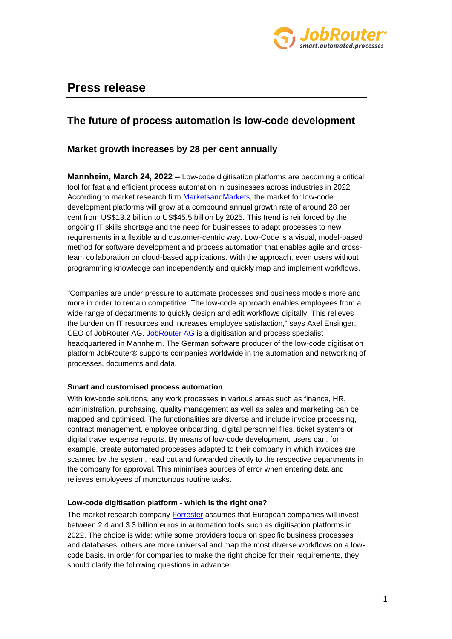

# **Press release**

## **The future of process automation is low-code development**

### **Market growth increases by 28 per cent annually**

**Mannheim, March 24, 2022 –** Low-code digitisation platforms are becoming a critical tool for fast and efficient process automation in businesses across industries in 2022. According to market research firm [MarketsandMarkets,](https://www.marketsandmarkets.com/Market-Reports/low-code-development-platforms-market-103455110.html) the market for low-code development platforms will grow at a compound annual growth rate of around 28 per cent from US\$13.2 billion to US\$45.5 billion by 2025. This trend is reinforced by the ongoing IT skills shortage and the need for businesses to adapt processes to new requirements in a flexible and customer-centric way. Low-Code is a visual, model-based method for software development and process automation that enables agile and crossteam collaboration on cloud-based applications. With the approach, even users without programming knowledge can independently and quickly map and implement workflows.

"Companies are under pressure to automate processes and business models more and more in order to remain competitive. The low-code approach enables employees from a wide range of departments to quickly design and edit workflows digitally. This relieves the burden on IT resources and increases employee satisfaction," says Axel Ensinger, CEO of JobRouter AG. [JobRouter AG](https://www.jobrouter.com/) is a digitisation and process specialist headquartered in Mannheim. The German software producer of the low-code digitisation platform JobRouter® supports companies worldwide in the automation and networking of processes, documents and data.

#### **Smart and customised process automation**

With low-code solutions, any work processes in various areas such as finance, HR, administration, purchasing, quality management as well as sales and marketing can be mapped and optimised. The functionalities are diverse and include invoice processing, contract management, employee onboarding, digital personnel files, ticket systems or digital travel expense reports. By means of low-code development, users can, for example, create automated processes adapted to their company in which invoices are scanned by the system, read out and forwarded directly to the respective departments in the company for approval. This minimises sources of error when entering data and relieves employees of monotonous routine tasks.

#### **Low-code digitisation platform - which is the right one?**

The market research company [Forrester](https://www.forrester.com/blogs/european-predictions-2022-eu/) assumes that European companies will invest between 2.4 and 3.3 billion euros in automation tools such as digitisation platforms in 2022. The choice is wide: while some providers focus on specific business processes and databases, others are more universal and map the most diverse workflows on a lowcode basis. In order for companies to make the right choice for their requirements, they should clarify the following questions in advance: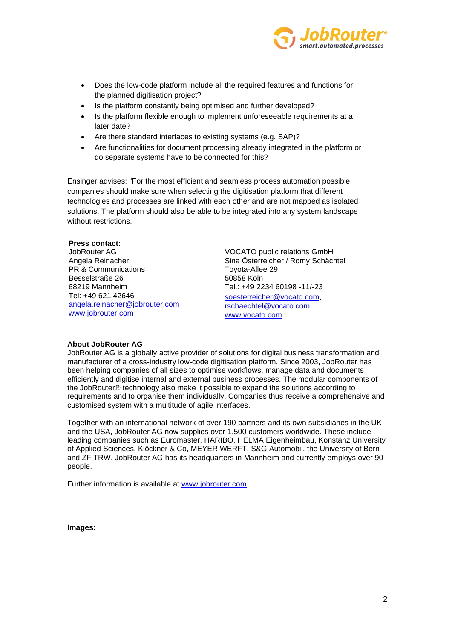

- Does the low-code platform include all the required features and functions for the planned digitisation project?
- Is the platform constantly being optimised and further developed?
- Is the platform flexible enough to implement unforeseeable requirements at a later date?
- Are there standard interfaces to existing systems (e.g. SAP)?
- Are functionalities for document processing already integrated in the platform or do separate systems have to be connected for this?

Ensinger advises: "For the most efficient and seamless process automation possible, companies should make sure when selecting the digitisation platform that different technologies and processes are linked with each other and are not mapped as isolated solutions. The platform should also be able to be integrated into any system landscape without restrictions.

#### **Press contact:**

JobRouter AG Angela Reinacher PR & Communications Besselstraße 26 68219 Mannheim Tel: +49 621 42646 [angela.reinacher@jobrouter.com](mailto:angela.reinacher@jobrouter.com) [www.jobrouter.com](http://www.jobrouter.com/)

VOCATO public relations GmbH Sina Österreicher / Romy Schächtel Toyota-Allee 29 50858 Köln Tel.: +49 2234 60198 -11/-23

[soesterreicher@vocato.com](mailto:soesterreicher@vocato.com), [rschaechtel@vocato.com](mailto:rschaechtel@vocato.com) [www.vocato.com](http://www.vocato.com/)

#### **About JobRouter AG**

JobRouter AG is a globally active provider of solutions for digital business transformation and manufacturer of a cross-industry low-code digitisation platform. Since 2003, JobRouter has been helping companies of all sizes to optimise workflows, manage data and documents efficiently and digitise internal and external business processes. The modular components of the JobRouter® technology also make it possible to expand the solutions according to requirements and to organise them individually. Companies thus receive a comprehensive and customised system with a multitude of agile interfaces.

Together with an international network of over 190 partners and its own subsidiaries in the UK and the USA, JobRouter AG now supplies over 1,500 customers worldwide. These include leading companies such as Euromaster, HARIBO, HELMA Eigenheimbau, Konstanz University of Applied Sciences, Klöckner & Co, MEYER WERFT, S&G Automobil, the University of Bern and ZF TRW. JobRouter AG has its headquarters in Mannheim and currently employs over 90 people.

Further information is available at [www.jobrouter.com.](http://www.jobrouter.com/)

**Images:**